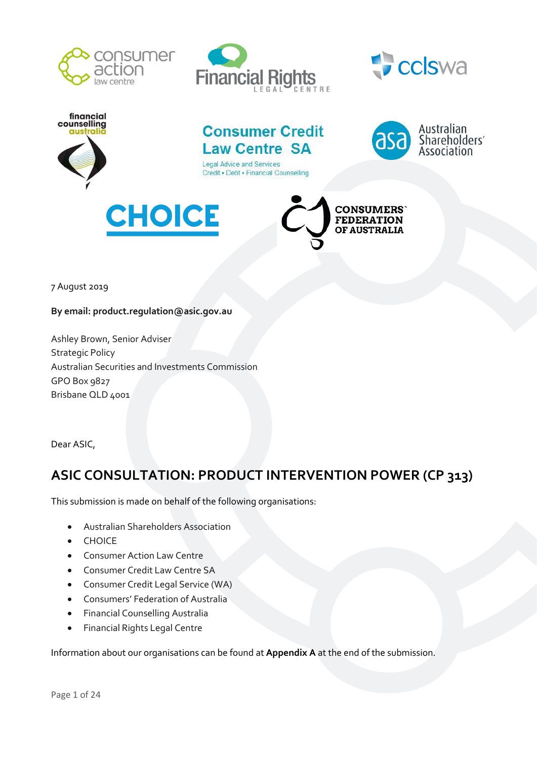







# **Consumer Credit Law Centre SA**

**Legal Advice and Services** Credit . Debt . Financial Counselling







7 August 2019

**By email: product.regulation@asic.gov.au**

Ashley Brown, Senior Adviser Strategic Policy Australian Securities and Investments Commission GPO Box 9827 Brisbane QLD 4001

Dear ASIC,

# **ASIC CONSULTATION: PRODUCT INTERVENTION POWER (CP 313)**

This submission is made on behalf of the following organisations:

- Australian Shareholders Association
- CHOICE
- Consumer Action Law Centre
- Consumer Credit Law Centre SA
- Consumer Credit Legal Service (WA)
- Consumers' Federation of Australia
- Financial Counselling Australia
- Financial Rights Legal Centre

Information about our organisations can be found at **Appendix A** at the end of the submission.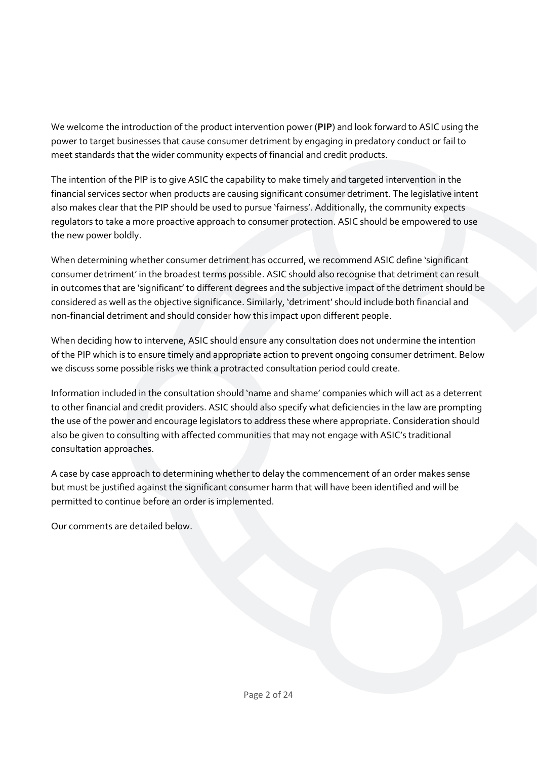We welcome the introduction of the product intervention power (**PIP**) and look forward to ASIC using the power to target businesses that cause consumer detriment by engaging in predatory conduct or fail to meet standards that the wider community expects of financial and credit products.

The intention of the PIP is to give ASIC the capability to make timely and targeted intervention in the financial services sector when products are causing significant consumer detriment. The legislative intent also makes clear that the PIP should be used to pursue 'fairness'. Additionally, the community expects regulators to take a more proactive approach to consumer protection. ASIC should be empowered to use the new power boldly.

When determining whether consumer detriment has occurred, we recommend ASIC define 'significant consumer detriment' in the broadest terms possible. ASIC should also recognise that detriment can result in outcomes that are 'significant' to different degrees and the subjective impact of the detriment should be considered as well as the objective significance. Similarly, 'detriment' should include both financial and non-financial detriment and should consider how this impact upon different people.

When deciding how to intervene, ASIC should ensure any consultation does not undermine the intention of the PIP which is to ensure timely and appropriate action to prevent ongoing consumer detriment. Below we discuss some possible risks we think a protracted consultation period could create.

Information included in the consultation should 'name and shame' companies which will act as a deterrent to other financial and credit providers. ASIC should also specify what deficiencies in the law are prompting the use of the power and encourage legislators to address these where appropriate. Consideration should also be given to consulting with affected communities that may not engage with ASIC's traditional consultation approaches.

A case by case approach to determining whether to delay the commencement of an order makes sense but must be justified against the significant consumer harm that will have been identified and will be permitted to continue before an order is implemented.

Our comments are detailed below.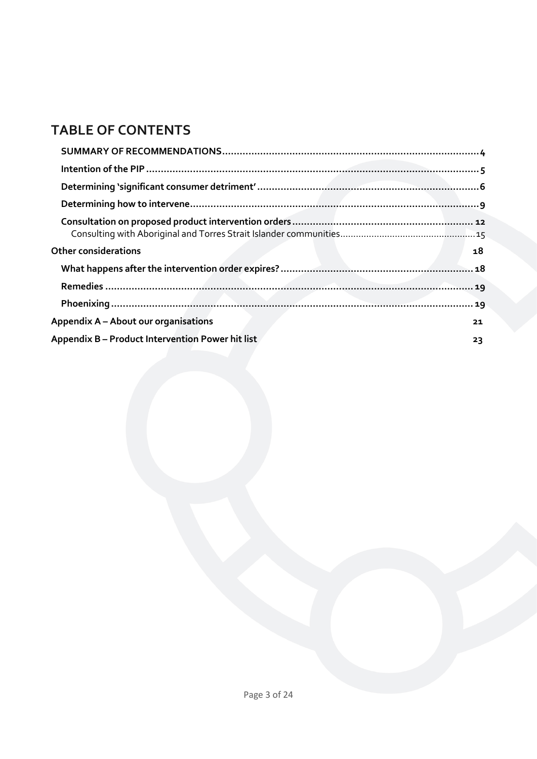# **TABLE OF CONTENTS**

| <b>Other considerations</b>                      | 18 |
|--------------------------------------------------|----|
|                                                  |    |
|                                                  |    |
|                                                  |    |
| <b>Appendix A – About our organisations</b>      | 21 |
| Appendix B - Product Intervention Power hit list | 23 |
|                                                  |    |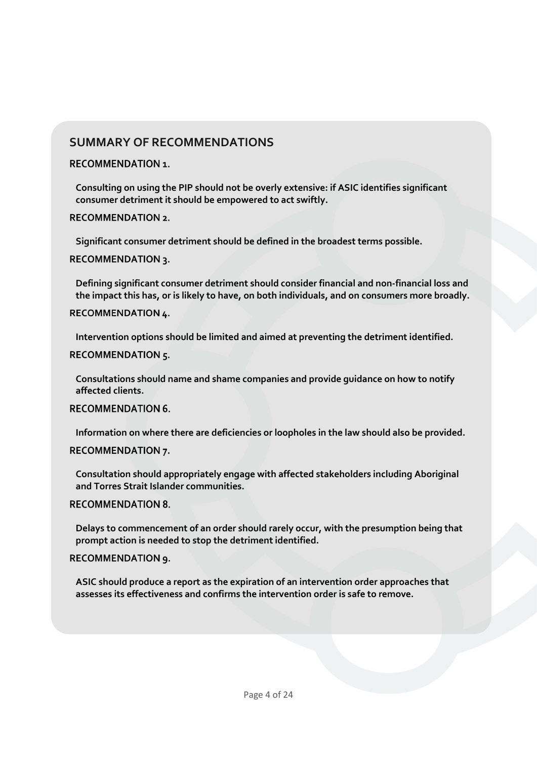## **SUMMARY OF RECOMMENDATIONS**

#### **RECOMMENDATION 1.**

**[Consulting on using the PIP should not be overly extensive: if ASIC identifies significant](#page-4-1)  [consumer detriment it should be empowered to act swiftly.](#page-4-1)**

**RECOMMENDATION 2.** 

**[Significant consumer detriment should be defined in the broadest terms possible.](#page-8-1)**

**RECOMMENDATION 3.** 

**[Defining significant consumer detriment should consider financial and non-financial loss and](#page-8-2)  [the impact this has, or is likely to have, on both individuals, and on consumers more broadly.](#page-8-2)**

**RECOMMENDATION 4.** 

**[Intervention options should be limited and aimed at preventing the detriment identified.](#page-10-1)**

RECOMMENDATION 5.

**[Consultations should name and shame companies and provide guidance on how to notify](#page-15-0)  [affected clients.](#page-15-0)**

**RECOMMENDATION 6.** 

**[Information on where there are deficiencies or loopholes in the law should also be provided.](#page-15-1)**

### **RECOMMENDATION 7.**

**[Consultation should appropriately engage with affected stakeholders including Aboriginal](#page-15-2)  [and Torres Strait Islander communities.](#page-15-2)**

**RECOMMENDATION 8.** 

**[Delays to commencement of an order should rarely occur, with the presumption being that](#page-17-2)  [prompt action is needed to stop the detriment identified.](#page-17-2)**

RECOMMENDATION 9.

**[ASIC should produce a report as the expiration of an intervention order approaches that](#page-17-3)  [assesses its effectiveness and confirms the intervention order is safe to remove.](#page-17-3)**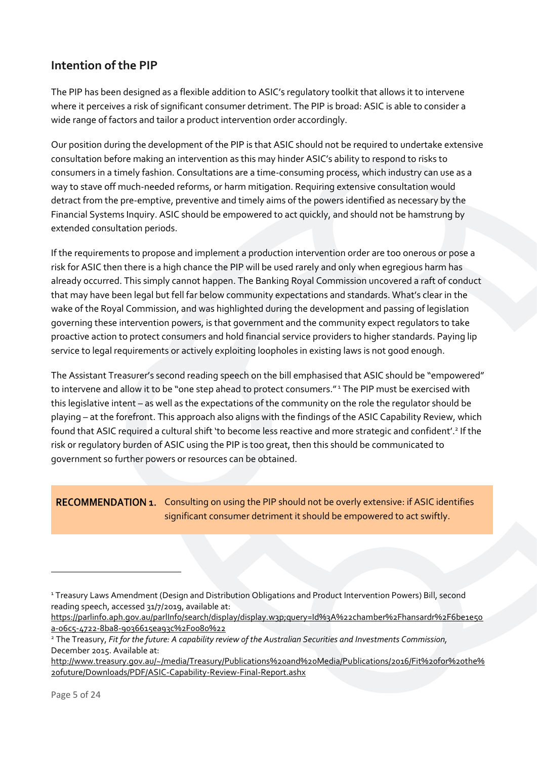## <span id="page-4-0"></span>**Intention of the PIP**

The PIP has been designed as a flexible addition to ASIC's regulatory toolkit that allows it to intervene where it perceives a risk of significant consumer detriment. The PIP is broad: ASIC is able to consider a wide range of factors and tailor a product intervention order accordingly.

Our position during the development of the PIP is that ASIC should not be required to undertake extensive consultation before making an intervention as this may hinder ASIC's ability to respond to risks to consumers in a timely fashion. Consultations are a time-consuming process, which industry can use as a way to stave off much-needed reforms, or harm mitigation. Requiring extensive consultation would detract from the pre-emptive, preventive and timely aims of the powers identified as necessary by the Financial Systems Inquiry. ASIC should be empowered to act quickly, and should not be hamstrung by extended consultation periods.

If the requirements to propose and implement a production intervention order are too onerous or pose a risk for ASIC then there is a high chance the PIP will be used rarely and only when egregious harm has already occurred. This simply cannot happen. The Banking Royal Commission uncovered a raft of conduct that may have been legal but fell far below community expectations and standards. What's clear in the wake of the Royal Commission, and was highlighted during the development and passing of legislation governing these intervention powers, is that government and the community expect regulators to take proactive action to protect consumers and hold financial service providers to higher standards. Paying lip service to legal requirements or actively exploiting loopholes in existing laws is not good enough.

The Assistant Treasurer's second reading speech on the bill emphasised that ASIC should be "empowered" to intervene and allow it to be "one step ahead to protect consumers."<sup>1</sup> The PIP must be exercised with this legislative intent – as well as the expectations of the community on the role the regulator should be playing – at the forefront. This approach also aligns with the findings of the ASIC Capability Review, which found that ASIC required a cultural shift 'to become less reactive and more strategic and confident'.<sup>2</sup> If the risk or regulatory burden of ASIC using the PIP is too great, then this should be communicated to government so further powers or resources can be obtained.

<span id="page-4-1"></span>RECOMMENDATION 1. Consulting on using the PIP should not be overly extensive: if ASIC identifies significant consumer detriment it should be empowered to act swiftly.

 $\overline{a}$ 

<sup>1</sup> Treasury Laws Amendment (Design and Distribution Obligations and Product Intervention Powers) Bill, second reading speech, accessed 31/7/2019, available at:

[https://parlinfo.aph.gov.au/parlInfo/search/display/display.w3p;query=Id%3A%22chamber%2Fhansardr%2F6be1e50](https://parlinfo.aph.gov.au/parlInfo/search/display/display.w3p;query=Id%3A%22chamber%2Fhansardr%2F6be1e50a-06c5-4722-8ba8-9036615ea93c%2F0080%22) [a-06c5-4722-8ba8-9036615ea93c%2F0080%22](https://parlinfo.aph.gov.au/parlInfo/search/display/display.w3p;query=Id%3A%22chamber%2Fhansardr%2F6be1e50a-06c5-4722-8ba8-9036615ea93c%2F0080%22)

<sup>2</sup> The Treasury, *Fit for the future: A capability review of the Australian Securities and Investments Commission,*  December 2015. Available at:

[http://www.treasury.gov.au/~/media/Treasury/Publications%20and%20Media/Publications/2016/Fit%20for%20the%](http://www.treasury.gov.au/~/media/Treasury/Publications%20and%20Media/Publications/2016/Fit%20for%20the%20future/Downloads/PDF/ASIC-Capability-Review-Final-Report.ashx) [20future/Downloads/PDF/ASIC-Capability-Review-Final-Report.ashx](http://www.treasury.gov.au/~/media/Treasury/Publications%20and%20Media/Publications/2016/Fit%20for%20the%20future/Downloads/PDF/ASIC-Capability-Review-Final-Report.ashx)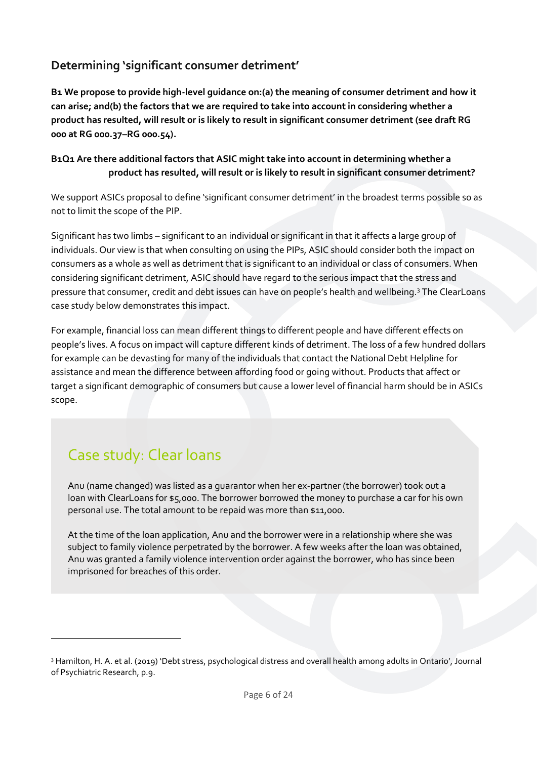# <span id="page-5-0"></span>**Determining 'significant consumer detriment'**

**B1 We propose to provide high-level guidance on:(a) the meaning of consumer detriment and how it can arise; and(b) the factors that we are required to take into account in considering whether a product has resulted, will result or is likely to result in significant consumer detriment (see draft RG 000 at RG 000.37–RG 000.54).**

### **B1Q1 Are there additional factors that ASIC might take into account in determining whether a product has resulted, will result or is likely to result in significant consumer detriment?**

We support ASICs proposal to define 'significant consumer detriment' in the broadest terms possible so as not to limit the scope of the PIP.

Significant has two limbs – significant to an individual or significant in that it affects a large group of individuals. Our view is that when consulting on using the PIPs, ASIC should consider both the impact on consumers as a whole as well as detriment that is significant to an individual or class of consumers. When considering significant detriment, ASIC should have regard to the serious impact that the stress and pressure that consumer, credit and debt issues can have on people's health and wellbeing.<sup>3</sup> The ClearLoans case study below demonstrates this impact.

For example, financial loss can mean different things to different people and have different effects on people's lives. A focus on impact will capture different kinds of detriment. The loss of a few hundred dollars for example can be devasting for many of the individuals that contact the National Debt Helpline for assistance and mean the difference between affording food or going without. Products that affect or target a significant demographic of consumers but cause a lower level of financial harm should be in ASICs scope.

# Case study: Clear loans

 $\overline{a}$ 

Anu (name changed) was listed as a guarantor when her ex-partner (the borrower) took out a loan with ClearLoans for \$5,000. The borrower borrowed the money to purchase a car for his own personal use. The total amount to be repaid was more than \$11,000.

At the time of the loan application, Anu and the borrower were in a relationship where she was subject to family violence perpetrated by the borrower. A few weeks after the loan was obtained, Anu was granted a family violence intervention order against the borrower, who has since been imprisoned for breaches of this order.

<sup>3</sup> Hamilton, H. A. et al. (2019) 'Debt stress, psychological distress and overall health among adults in Ontario', Journal of Psychiatric Research, p.9.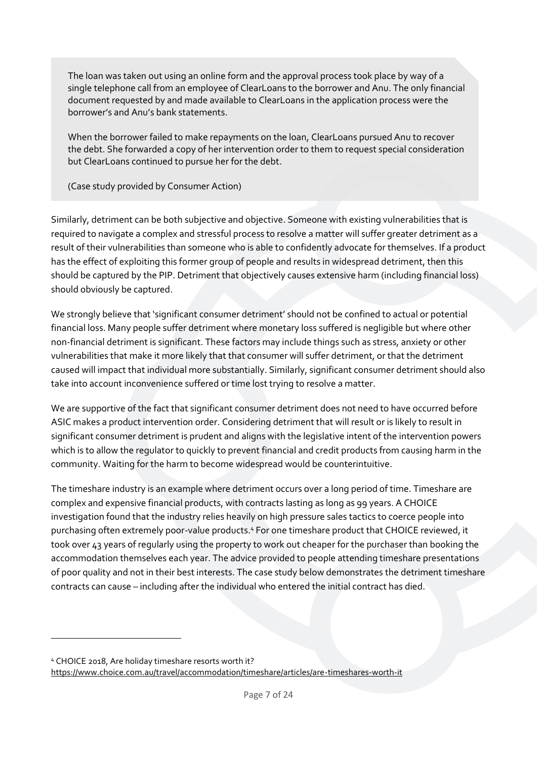The loan was taken out using an online form and the approval process took place by way of a single telephone call from an employee of ClearLoans to the borrower and Anu. The only financial document requested by and made available to ClearLoans in the application process were the borrower's and Anu's bank statements.

When the borrower failed to make repayments on the loan, ClearLoans pursued Anu to recover the debt. She forwarded a copy of her intervention order to them to request special consideration but ClearLoans continued to pursue her for the debt.

(Case study provided by Consumer Action)

Similarly, detriment can be both subjective and objective. Someone with existing vulnerabilities that is required to navigate a complex and stressful process to resolve a matter will suffer greater detriment as a result of their vulnerabilities than someone who is able to confidently advocate for themselves. If a product has the effect of exploiting this former group of people and results in widespread detriment, then this should be captured by the PIP. Detriment that objectively causes extensive harm (including financial loss) should obviously be captured.

We strongly believe that 'significant consumer detriment' should not be confined to actual or potential financial loss. Many people suffer detriment where monetary loss suffered is negligible but where other non-financial detriment is significant. These factors may include things such as stress, anxiety or other vulnerabilities that make it more likely that that consumer will suffer detriment, or that the detriment caused will impact that individual more substantially. Similarly, significant consumer detriment should also take into account inconvenience suffered or time lost trying to resolve a matter.

We are supportive of the fact that significant consumer detriment does not need to have occurred before ASIC makes a product intervention order. Considering detriment that will result or is likely to result in significant consumer detriment is prudent and aligns with the legislative intent of the intervention powers which is to allow the regulator to quickly to prevent financial and credit products from causing harm in the community. Waiting for the harm to become widespread would be counterintuitive.

The timeshare industry is an example where detriment occurs over a long period of time. Timeshare are complex and expensive financial products, with contracts lasting as long as 99 years. A CHOICE investigation found that the industry relies heavily on high pressure sales tactics to coerce people into purchasing often extremely poor-value products.<sup>4</sup> For one timeshare product that CHOICE reviewed, it took over 43 years of regularly using the property to work out cheaper for the purchaser than booking the accommodation themselves each year. The advice provided to people attending timeshare presentations of poor quality and not in their best interests. The case study below demonstrates the detriment timeshare contracts can cause – including after the individual who entered the initial contract has died.

 $\overline{a}$ 

<sup>4</sup> CHOICE 2018, Are holiday timeshare resorts worth it? <https://www.choice.com.au/travel/accommodation/timeshare/articles/are-timeshares-worth-it>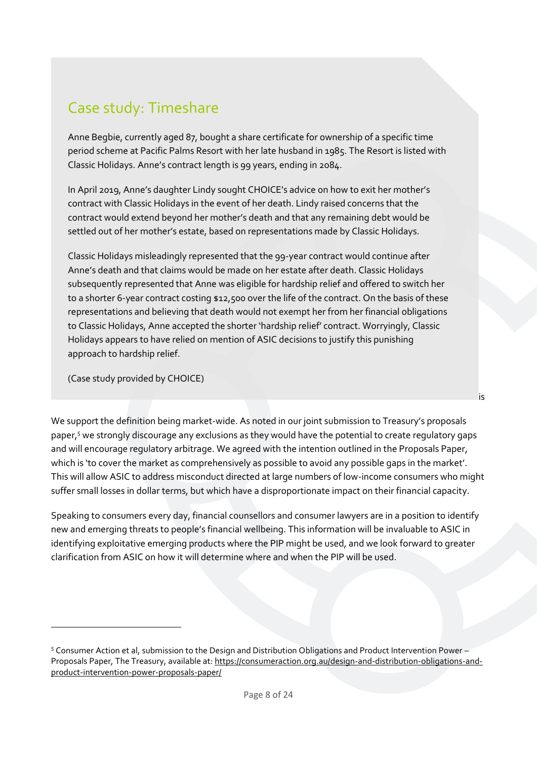# Case study: Timeshare

Anne Begbie, currently aged 87, bought a share certificate for ownership of a specific time period scheme at Pacific Palms Resort with her late husband in 1985. The Resort is listed with Classic Holidays. Anne's contract length is 99 years, ending in 2084.

In April 2019, Anne's daughter Lindy sought CHOICE's advice on how to exit her mother's contract with Classic Holidays in the event of her death. Lindy raised concerns that the contract would extend beyond her mother's death and that any remaining debt would be settled out of her mother's estate, based on representations made by Classic Holidays.

Classic Holidays misleadingly represented that the 99-year contract would continue after Anne's death and that claims would be made on her estate after death. Classic Holidays subsequently represented that Anne was eligible for hardship relief and offered to switch her to a shorter 6-year contract costing \$12,500 over the life of the contract. On the basis of these representations and believing that death would not exempt her from her financial obligations to Classic Holidays, Anne accepted the shorter 'hardship relief' contract. Worryingly, Classic Holidays appears to have relied on mention of ASIC decisions to justify this punishing approach to hardship relief.

(Case study provided by CHOICE)

1

We support the definition being market-wide. As noted in our joint submission to Treasury's proposals paper,<sup>5</sup> we strongly discourage any exclusions as they would have the potential to create regulatory gaps and will encourage regulatory arbitrage. We agreed with the intention outlined in the Proposals Paper, which is 'to cover the market as comprehensively as possible to avoid any possible gaps in the market'. This will allow ASIC to address misconduct directed at large numbers of low-income consumers who might suffer small losses in dollar terms, but which have a disproportionate impact on their financial capacity.

is

Speaking to consumers every day, financial counsellors and consumer lawyers are in a position to identify new and emerging threats to people's financial wellbeing. This information will be invaluable to ASIC in identifying exploitative emerging products where the PIP might be used, and we look forward to greater clarification from ASIC on how it will determine where and when the PIP will be used.

<sup>5</sup> Consumer Action et al, submission to the Design and Distribution Obligations and Product Intervention Power – Proposals Paper, The Treasury, available at: [https://consumeraction.org.au/design-and-distribution-obligations-and](https://consumeraction.org.au/design-and-distribution-obligations-and-product-intervention-power-proposals-paper/)[product-intervention-power-proposals-paper/](https://consumeraction.org.au/design-and-distribution-obligations-and-product-intervention-power-proposals-paper/)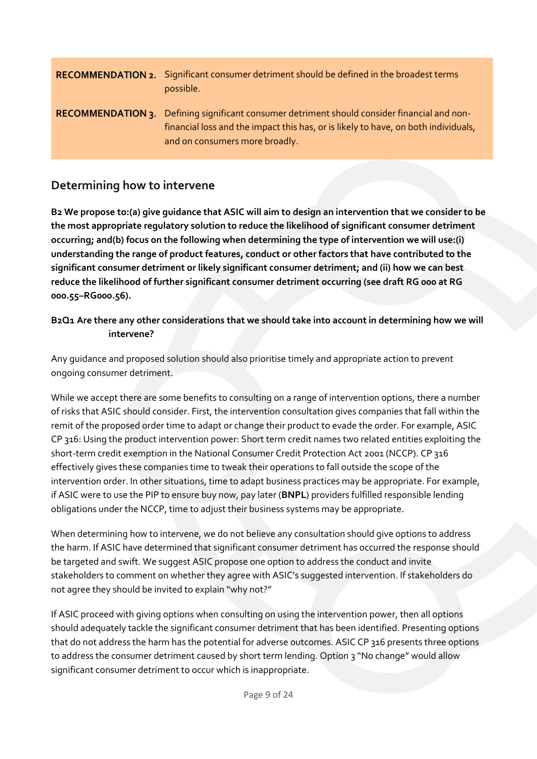<span id="page-8-2"></span><span id="page-8-1"></span>

| <b>RECOMMENDATION 2.</b> Significant consumer detriment should be defined in the broadest terms<br>possible.                                                                                                         |
|----------------------------------------------------------------------------------------------------------------------------------------------------------------------------------------------------------------------|
| RECOMMENDATION 3. Defining significant consumer detriment should consider financial and non-<br>financial loss and the impact this has, or is likely to have, on both individuals,<br>and on consumers more broadly. |

## <span id="page-8-0"></span>**Determining how to intervene**

**B2 We propose to:(a) give guidance that ASIC will aim to design an intervention that we consider to be the most appropriate regulatory solution to reduce the likelihood of significant consumer detriment occurring; and(b) focus on the following when determining the type of intervention we will use:(i) understanding the range of product features, conduct or other factors that have contributed to the significant consumer detriment or likely significant consumer detriment; and (ii) how we can best reduce the likelihood of further significant consumer detriment occurring (see draft RG 000 at RG 000.55–RG000.56).**

### **B2Q1 Are there any other considerations that we should take into account in determining how we will intervene?**

Any guidance and proposed solution should also prioritise timely and appropriate action to prevent ongoing consumer detriment.

While we accept there are some benefits to consulting on a range of intervention options, there a number of risks that ASIC should consider. First, the intervention consultation gives companies that fall within the remit of the proposed order time to adapt or change their product to evade the order. For example, ASIC CP 316: Using the product intervention power: Short term credit names two related entities exploiting the short-term credit exemption in the National Consumer Credit Protection Act 2001 (NCCP). CP 316 effectively gives these companies time to tweak their operations to fall outside the scope of the intervention order. In other situations, time to adapt business practices may be appropriate. For example, if ASIC were to use the PIP to ensure buy now, pay later (**BNPL**) providers fulfilled responsible lending obligations under the NCCP, time to adjust their business systems may be appropriate.

When determining how to intervene, we do not believe any consultation should give options to address the harm. If ASIC have determined that significant consumer detriment has occurred the response should be targeted and swift. We suggest ASIC propose one option to address the conduct and invite stakeholders to comment on whether they agree with ASIC's suggested intervention. If stakeholders do not agree they should be invited to explain "why not?"

If ASIC proceed with giving options when consulting on using the intervention power, then all options should adequately tackle the significant consumer detriment that has been identified. Presenting options that do not address the harm has the potential for adverse outcomes. ASIC CP 316 presents three options to address the consumer detriment caused by short term lending. Option 3 "No change" would allow significant consumer detriment to occur which is inappropriate.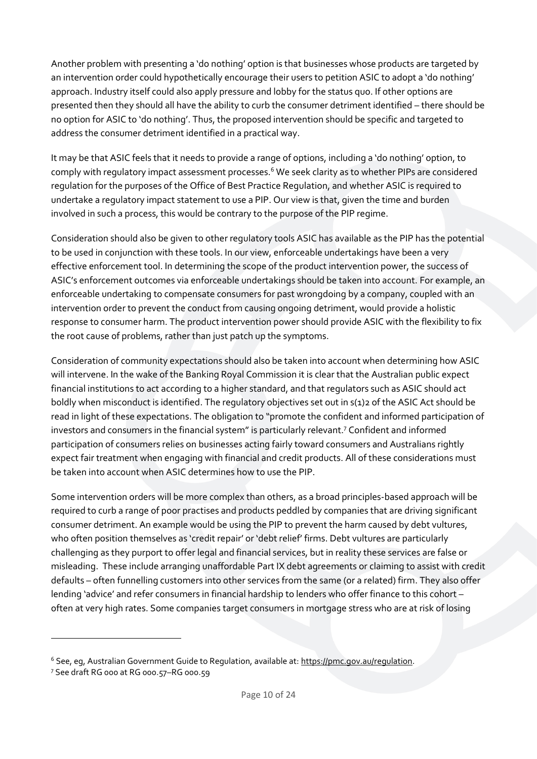Another problem with presenting a 'do nothing' option is that businesses whose products are targeted by an intervention order could hypothetically encourage their users to petition ASIC to adopt a 'do nothing' approach. Industry itself could also apply pressure and lobby for the status quo. If other options are presented then they should all have the ability to curb the consumer detriment identified – there should be no option for ASIC to 'do nothing'. Thus, the proposed intervention should be specific and targeted to address the consumer detriment identified in a practical way.

It may be that ASIC feels that it needs to provide a range of options, including a 'do nothing' option, to comply with regulatory impact assessment processes.<sup>6</sup> We seek clarity as to whether PIPs are considered regulation for the purposes of the Office of Best Practice Regulation, and whether ASIC is required to undertake a regulatory impact statement to use a PIP. Our view is that, given the time and burden involved in such a process, this would be contrary to the purpose of the PIP regime.

Consideration should also be given to other regulatory tools ASIC has available as the PIP has the potential to be used in conjunction with these tools. In our view, enforceable undertakings have been a very effective enforcement tool. In determining the scope of the product intervention power, the success of ASIC's enforcement outcomes via enforceable undertakings should be taken into account. For example, an enforceable undertaking to compensate consumers for past wrongdoing by a company, coupled with an intervention order to prevent the conduct from causing ongoing detriment, would provide a holistic response to consumer harm. The product intervention power should provide ASIC with the flexibility to fix the root cause of problems, rather than just patch up the symptoms.

Consideration of community expectations should also be taken into account when determining how ASIC will intervene. In the wake of the Banking Royal Commission it is clear that the Australian public expect financial institutions to act according to a higher standard, and that regulators such as ASIC should act boldly when misconduct is identified. The regulatory objectives set out in s(1)2 of the ASIC Act should be read in light of these expectations. The obligation to "promote the confident and informed participation of investors and consumers in the financial system" is particularly relevant.<sup>7</sup> Confident and informed participation of consumers relies on businesses acting fairly toward consumers and Australians rightly expect fair treatment when engaging with financial and credit products. All of these considerations must be taken into account when ASIC determines how to use the PIP.

Some intervention orders will be more complex than others, as a broad principles-based approach will be required to curb a range of poor practises and products peddled by companies that are driving significant consumer detriment. An example would be using the PIP to prevent the harm caused by debt vultures, who often position themselves as 'credit repair' or 'debt relief' firms. Debt vultures are particularly challenging as they purport to offer legal and financial services, but in reality these services are false or misleading. These include arranging unaffordable Part IX debt agreements or claiming to assist with credit defaults – often funnelling customers into other services from the same (or a related) firm. They also offer lending 'advice' and refer consumers in financial hardship to lenders who offer finance to this cohort – often at very high rates. Some companies target consumers in mortgage stress who are at risk of losing

 $\overline{a}$ 

<sup>&</sup>lt;sup>6</sup> See, eg, Australian Government Guide to Regulation, available at: [https://pmc.gov.au/regulation.](https://pmc.gov.au/regulation)

<sup>7</sup> See draft RG 000 at RG 000.57–RG 000.59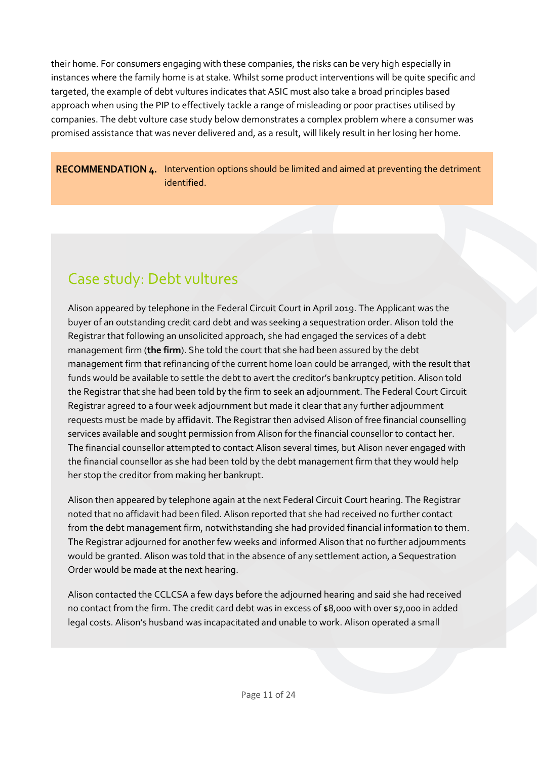their home. For consumers engaging with these companies, the risks can be very high especially in instances where the family home is at stake. Whilst some product interventions will be quite specific and targeted, the example of debt vultures indicates that ASIC must also take a broad principles based approach when using the PIP to effectively tackle a range of misleading or poor practises utilised by companies. The debt vulture case study below demonstrates a complex problem where a consumer was promised assistance that was never delivered and, as a result, will likely result in her losing her home.

<span id="page-10-1"></span>RECOMMENDATION 4. Intervention options should be limited and aimed at preventing the detriment identified.

# Case study: Debt vultures

Alison appeared by telephone in the Federal Circuit Court in April 2019. The Applicant was the buyer of an outstanding credit card debt and was seeking a sequestration order. Alison told the Registrar that following an unsolicited approach, she had engaged the services of a debt management firm (**the firm**). She told the court that she had been assured by the debt management firm that refinancing of the current home loan could be arranged, with the result that funds would be available to settle the debt to avert the creditor's bankruptcy petition. Alison told the Registrar that she had been told by the firm to seek an adjournment. The Federal Court Circuit Registrar agreed to a four week adjournment but made it clear that any further adjournment requests must be made by affidavit. The Registrar then advised Alison of free financial counselling services available and sought permission from Alison for the financial counsellor to contact her. The financial counsellor attempted to contact Alison several times, but Alison never engaged with the financial counsellor as she had been told by the debt management firm that they would help her stop the creditor from making her bankrupt.

Alison then appeared by telephone again at the next Federal Circuit Court hearing. The Registrar noted that no affidavit had been filed. Alison reported that she had received no further contact from the debt management firm, notwithstanding she had provided financial information to them. The Registrar adjourned for another few weeks and informed Alison that no further adjournments would be granted. Alison was told that in the absence of any settlement action, a Sequestration Order would be made at the next hearing.

<span id="page-10-0"></span>Alison contacted the CCLCSA a few days before the adjourned hearing and said she had received no contact from the firm. The credit card debt was in excess of \$8,000 with over \$7,000 in added legal costs. Alison's husband was incapacitated and unable to work. Alison operated a small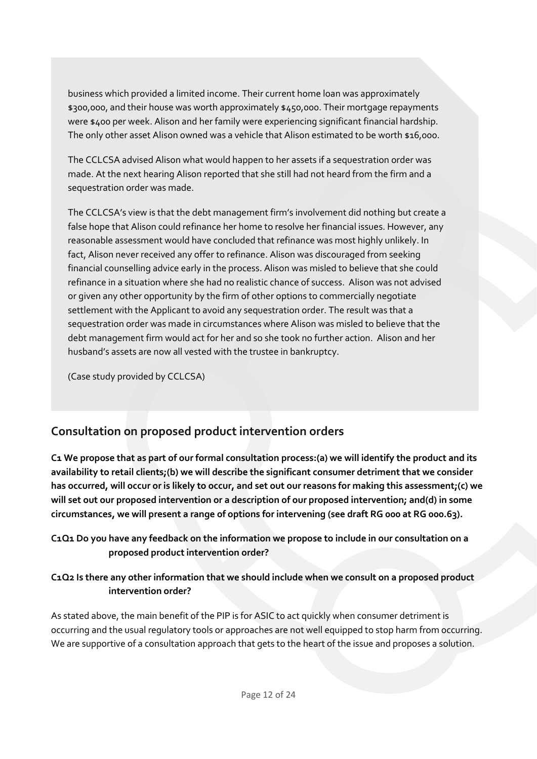business which provided a limited income. Their current home loan was approximately \$300,000, and their house was worth approximately \$450,000. Their mortgage repayments were \$400 per week. Alison and her family were experiencing significant financial hardship. The only other asset Alison owned was a vehicle that Alison estimated to be worth \$16,000.

The CCLCSA advised Alison what would happen to her assets if a sequestration order was made. At the next hearing Alison reported that she still had not heard from the firm and a sequestration order was made.

The CCLCSA's view is that the debt management firm's involvement did nothing but create a false hope that Alison could refinance her home to resolve her financial issues. However, any reasonable assessment would have concluded that refinance was most highly unlikely. In fact, Alison never received any offer to refinance. Alison was discouraged from seeking financial counselling advice early in the process. Alison was misled to believe that she could refinance in a situation where she had no realistic chance of success. Alison was not advised or given any other opportunity by the firm of other options to commercially negotiate settlement with the Applicant to avoid any sequestration order. The result was that a sequestration order was made in circumstances where Alison was misled to believe that the debt management firm would act for her and so she took no further action. Alison and her husband's assets are now all vested with the trustee in bankruptcy.

(Case study provided by CCLCSA)

## **Consultation on proposed product intervention orders**

**C1 We propose that as part of our formal consultation process:(a) we will identify the product and its availability to retail clients;(b) we will describe the significant consumer detriment that we consider has occurred, will occur or is likely to occur, and set out our reasons for making this assessment;(c) we will set out our proposed intervention or a description of our proposed intervention; and(d) in some circumstances, we will present a range of options for intervening (see draft RG 000 at RG 000.63).**

**C1Q1 Do you have any feedback on the information we propose to include in our consultation on a proposed product intervention order?** 

## **C1Q2 Is there any other information that we should include when we consult on a proposed product intervention order?**

As stated above, the main benefit of the PIP is for ASIC to act quickly when consumer detriment is occurring and the usual regulatory tools or approaches are not well equipped to stop harm from occurring. We are supportive of a consultation approach that gets to the heart of the issue and proposes a solution.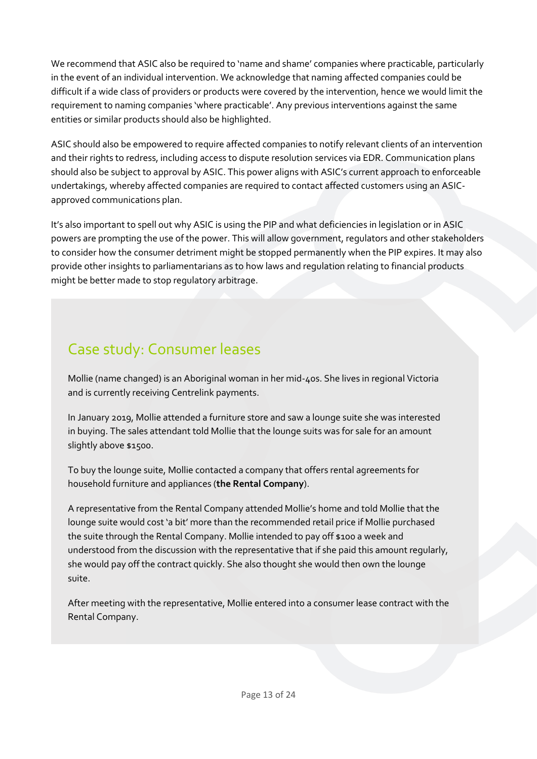We recommend that ASIC also be required to 'name and shame' companies where practicable, particularly in the event of an individual intervention. We acknowledge that naming affected companies could be difficult if a wide class of providers or products were covered by the intervention, hence we would limit the requirement to naming companies 'where practicable'. Any previous interventions against the same entities or similar products should also be highlighted.

ASIC should also be empowered to require affected companies to notify relevant clients of an intervention and their rights to redress, including access to dispute resolution services via EDR. Communication plans should also be subject to approval by ASIC. This power aligns with ASIC's current approach to enforceable undertakings, whereby affected companies are required to contact affected customers using an ASICapproved communications plan.

It's also important to spell out why ASIC is using the PIP and what deficiencies in legislation or in ASIC powers are prompting the use of the power. This will allow government, regulators and other stakeholders to consider how the consumer detriment might be stopped permanently when the PIP expires. It may also provide other insights to parliamentarians as to how laws and regulation relating to financial products might be better made to stop regulatory arbitrage.

# Case study: Consumer leases

Mollie (name changed) is an Aboriginal woman in her mid-40s. She lives in regional Victoria and is currently receiving Centrelink payments.

In January 2019, Mollie attended a furniture store and saw a lounge suite she was interested in buying. The sales attendant told Mollie that the lounge suits was for sale for an amount slightly above \$1500.

To buy the lounge suite, Mollie contacted a company that offers rental agreements for household furniture and appliances (**the Rental Company**).

A representative from the Rental Company attended Mollie's home and told Mollie that the lounge suite would cost 'a bit' more than the recommended retail price if Mollie purchased the suite through the Rental Company. Mollie intended to pay off \$100 a week and understood from the discussion with the representative that if she paid this amount regularly, she would pay off the contract quickly. She also thought she would then own the lounge suite.

After meeting with the representative, Mollie entered into a consumer lease contract with the Rental Company.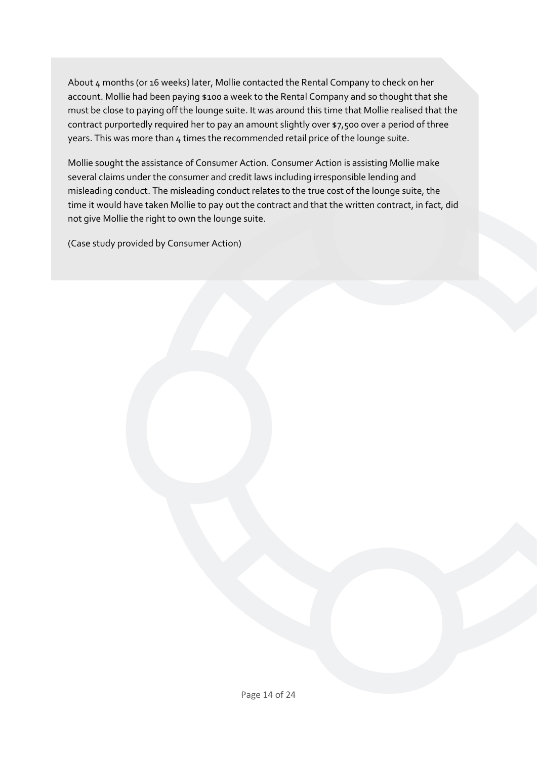About 4 months (or 16 weeks) later, Mollie contacted the Rental Company to check on her account. Mollie had been paying \$100 a week to the Rental Company and so thought that she must be close to paying off the lounge suite. It was around this time that Mollie realised that the contract purportedly required her to pay an amount slightly over \$7,500 over a period of three years. This was more than 4 times the recommended retail price of the lounge suite.

Mollie sought the assistance of Consumer Action. Consumer Action is assisting Mollie make several claims under the consumer and credit laws including irresponsible lending and misleading conduct. The misleading conduct relates to the true cost of the lounge suite, the time it would have taken Mollie to pay out the contract and that the written contract, in fact, did not give Mollie the right to own the lounge suite.

(Case study provided by Consumer Action)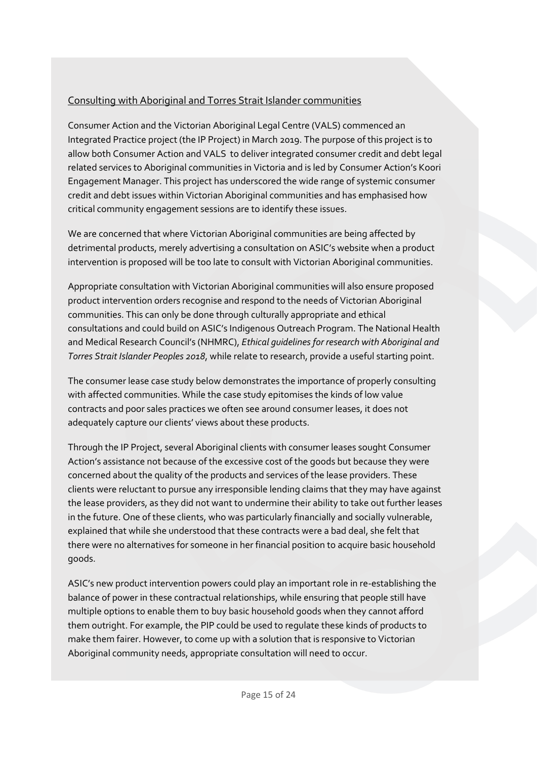## Consulting with Aboriginal and Torres Strait Islander communities

Consumer Action and the Victorian Aboriginal Legal Centre (VALS) commenced an Integrated Practice project (the IP Project) in March 2019. The purpose of this project is to allow both Consumer Action and VALS to deliver integrated consumer credit and debt legal related services to Aboriginal communities in Victoria and is led by Consumer Action's Koori Engagement Manager. This project has underscored the wide range of systemic consumer credit and debt issues within Victorian Aboriginal communities and has emphasised how critical community engagement sessions are to identify these issues.

We are concerned that where Victorian Aboriginal communities are being affected by detrimental products, merely advertising a consultation on ASIC's website when a product intervention is proposed will be too late to consult with Victorian Aboriginal communities.

Appropriate consultation with Victorian Aboriginal communities will also ensure proposed product intervention orders recognise and respond to the needs of Victorian Aboriginal communities. This can only be done through culturally appropriate and ethical consultations and could build on ASIC's Indigenous Outreach Program. The National Health and Medical Research Council's (NHMRC), *Ethical guidelines for research with Aboriginal and Torres Strait Islander Peoples 2018*, while relate to research, provide a useful starting point.

The consumer lease case study below demonstrates the importance of properly consulting with affected communities. While the case study epitomises the kinds of low value contracts and poor sales practices we often see around consumer leases, it does not adequately capture our clients' views about these products.

Through the IP Project, several Aboriginal clients with consumer leases sought Consumer Action's assistance not because of the excessive cost of the goods but because they were concerned about the quality of the products and services of the lease providers. These clients were reluctant to pursue any irresponsible lending claims that they may have against the lease providers, as they did not want to undermine their ability to take out further leases in the future. One of these clients, who was particularly financially and socially vulnerable, explained that while she understood that these contracts were a bad deal, she felt that there were no alternatives for someone in her financial position to acquire basic household goods.

ASIC's new product intervention powers could play an important role in re-establishing the balance of power in these contractual relationships, while ensuring that people still have multiple options to enable them to buy basic household goods when they cannot afford them outright. For example, the PIP could be used to regulate these kinds of products to make them fairer. However, to come up with a solution that is responsive to Victorian Aboriginal community needs, appropriate consultation will need to occur.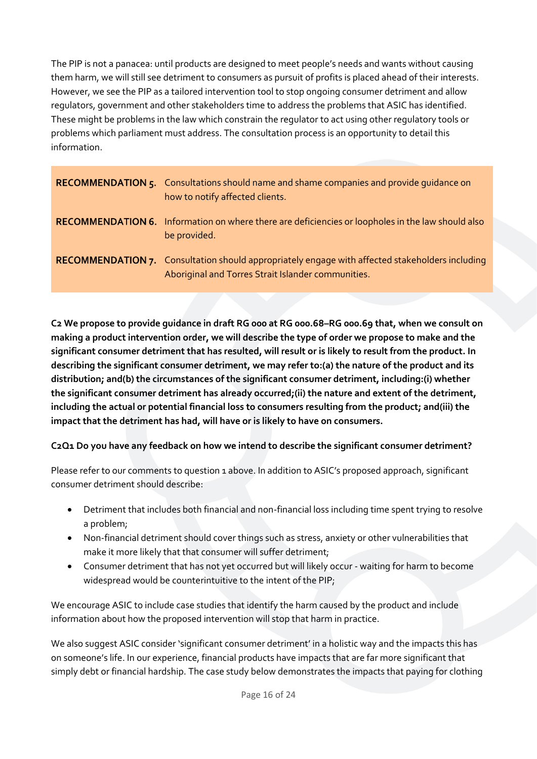The PIP is not a panacea: until products are designed to meet people's needs and wants without causing them harm, we will still see detriment to consumers as pursuit of profits is placed ahead of their interests. However, we see the PIP as a tailored intervention tool to stop ongoing consumer detriment and allow regulators, government and other stakeholders time to address the problems that ASIC has identified. These might be problems in the law which constrain the regulator to act using other regulatory tools or problems which parliament must address. The consultation process is an opportunity to detail this information.

<span id="page-15-1"></span><span id="page-15-0"></span>

| <b>RECOMMENDATION 5.</b> Consultations should name and shame companies and provide quidance on<br>how to notify affected clients.                            |
|--------------------------------------------------------------------------------------------------------------------------------------------------------------|
| <b>RECOMMENDATION 6.</b> Information on where there are deficiencies or loopholes in the law should also<br>be provided.                                     |
| <b>RECOMMENDATION 7.</b> Consultation should appropriately engage with affected stakeholders including<br>Aboriginal and Torres Strait Islander communities. |

<span id="page-15-2"></span>**C2 We propose to provide guidance in draft RG 000 at RG 000.68–RG 000.69 that, when we consult on making a product intervention order, we will describe the type of order we propose to make and the significant consumer detriment that has resulted, will result or is likely to result from the product. In describing the significant consumer detriment, we may refer to:(a) the nature of the product and its distribution; and(b) the circumstances of the significant consumer detriment, including:(i) whether the significant consumer detriment has already occurred;(ii) the nature and extent of the detriment, including the actual or potential financial loss to consumers resulting from the product; and(iii) the impact that the detriment has had, will have or is likely to have on consumers.**

#### **C2Q1 Do you have any feedback on how we intend to describe the significant consumer detriment?**

Please refer to our comments to question 1 above. In addition to ASIC's proposed approach, significant consumer detriment should describe:

- Detriment that includes both financial and non-financial loss including time spent trying to resolve a problem;
- Non-financial detriment should cover things such as stress, anxiety or other vulnerabilities that make it more likely that that consumer will suffer detriment;
- Consumer detriment that has not yet occurred but will likely occur waiting for harm to become widespread would be counterintuitive to the intent of the PIP;

We encourage ASIC to include case studies that identify the harm caused by the product and include information about how the proposed intervention will stop that harm in practice.

We also suggest ASIC consider 'significant consumer detriment' in a holistic way and the impacts this has on someone's life. In our experience, financial products have impacts that are far more significant that simply debt or financial hardship. The case study below demonstrates the impacts that paying for clothing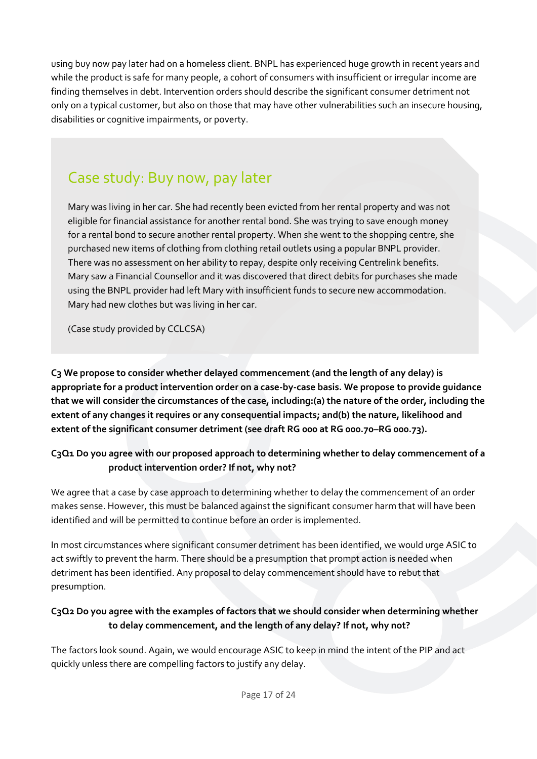using buy now pay later had on a homeless client. BNPL has experienced huge growth in recent years and while the product is safe for many people, a cohort of consumers with insufficient or irregular income are finding themselves in debt. Intervention orders should describe the significant consumer detriment not only on a typical customer, but also on those that may have other vulnerabilities such an insecure housing, disabilities or cognitive impairments, or poverty.

# Case study: Buy now, pay later

Mary was living in her car. She had recently been evicted from her rental property and was not eligible for financial assistance for another rental bond. She was trying to save enough money for a rental bond to secure another rental property. When she went to the shopping centre, she purchased new items of clothing from clothing retail outlets using a popular BNPL provider. There was no assessment on her ability to repay, despite only receiving Centrelink benefits. Mary saw a Financial Counsellor and it was discovered that direct debits for purchases she made using the BNPL provider had left Mary with insufficient funds to secure new accommodation. Mary had new clothes but was living in her car.

(Case study provided by CCLCSA)

**C3 We propose to consider whether delayed commencement (and the length of any delay) is appropriate for a product intervention order on a case-by-case basis. We propose to provide guidance that we will consider the circumstances of the case, including:(a) the nature of the order, including the extent of any changes it requires or any consequential impacts; and(b) the nature, likelihood and extent of the significant consumer detriment (see draft RG 000 at RG 000.70–RG 000.73).**

### **C3Q1 Do you agree with our proposed approach to determining whether to delay commencement of a product intervention order? If not, why not?**

We agree that a case by case approach to determining whether to delay the commencement of an order makes sense. However, this must be balanced against the significant consumer harm that will have been identified and will be permitted to continue before an order is implemented.

In most circumstances where significant consumer detriment has been identified, we would urge ASIC to act swiftly to prevent the harm. There should be a presumption that prompt action is needed when detriment has been identified. Any proposal to delay commencement should have to rebut that presumption.

## **C3Q2 Do you agree with the examples of factors that we should consider when determining whether to delay commencement, and the length of any delay? If not, why not?**

The factors look sound. Again, we would encourage ASIC to keep in mind the intent of the PIP and act quickly unless there are compelling factors to justify any delay.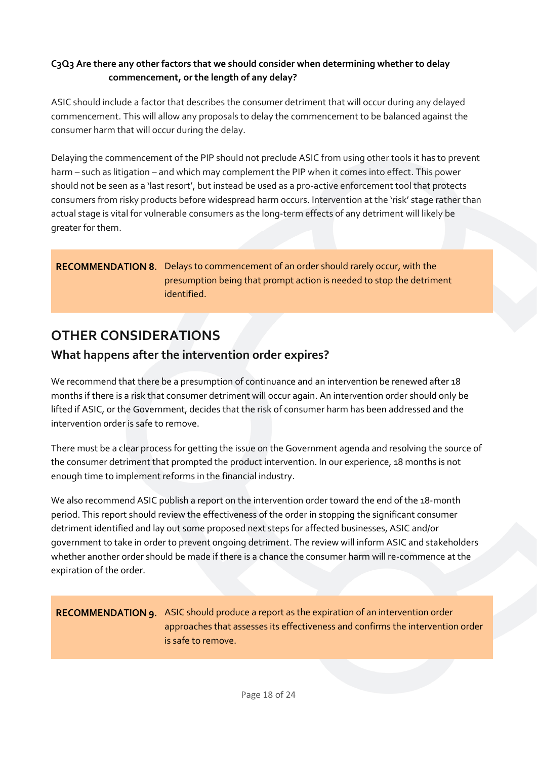### **C3Q3 Are there any other factors that we should consider when determining whether to delay commencement, or the length of any delay?**

ASIC should include a factor that describes the consumer detriment that will occur during any delayed commencement. This will allow any proposals to delay the commencement to be balanced against the consumer harm that will occur during the delay.

Delaying the commencement of the PIP should not preclude ASIC from using other tools it has to prevent harm – such as litigation – and which may complement the PIP when it comes into effect. This power should not be seen as a 'last resort', but instead be used as a pro-active enforcement tool that protects consumers from risky products before widespread harm occurs. Intervention at the 'risk' stage rather than actual stage is vital for vulnerable consumers as the long-term effects of any detriment will likely be greater for them.

#### <span id="page-17-2"></span>RECOMMENDATION 8. Delays to commencement of an order should rarely occur, with the presumption being that prompt action is needed to stop the detriment identified.

# <span id="page-17-0"></span>**OTHER CONSIDERATIONS**

## <span id="page-17-1"></span>**What happens after the intervention order expires?**

We recommend that there be a presumption of continuance and an intervention be renewed after 18 months if there is a risk that consumer detriment will occur again. An intervention order should only be lifted if ASIC, or the Government, decides that the risk of consumer harm has been addressed and the intervention order is safe to remove.

There must be a clear process for getting the issue on the Government agenda and resolving the source of the consumer detriment that prompted the product intervention. In our experience, 18 months is not enough time to implement reforms in the financial industry.

We also recommend ASIC publish a report on the intervention order toward the end of the 18-month period. This report should review the effectiveness of the order in stopping the significant consumer detriment identified and lay out some proposed next steps for affected businesses, ASIC and/or government to take in order to prevent ongoing detriment. The review will inform ASIC and stakeholders whether another order should be made if there is a chance the consumer harm will re-commence at the expiration of the order.

### <span id="page-17-3"></span>RECOMMENDATION 9. ASIC should produce a report as the expiration of an intervention order approaches that assesses its effectiveness and confirms the intervention order is safe to remove.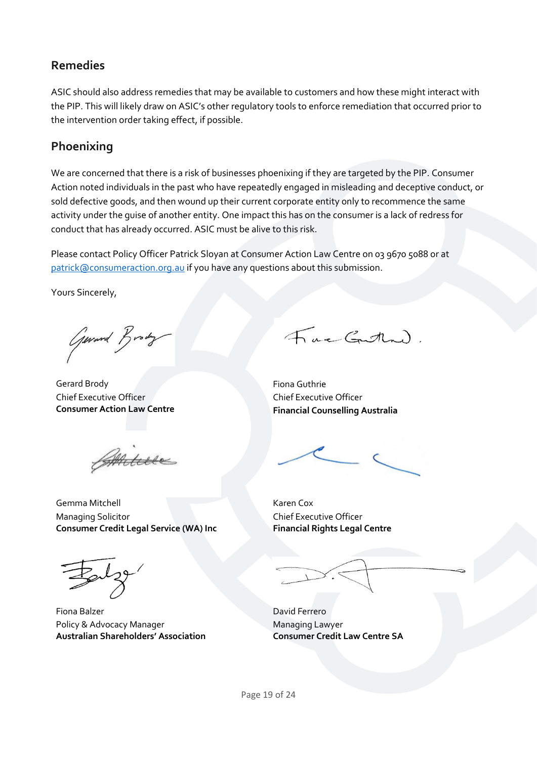## <span id="page-18-0"></span>**Remedies**

ASIC should also address remedies that may be available to customers and how these might interact with the PIP. This will likely draw on ASIC's other regulatory tools to enforce remediation that occurred prior to the intervention order taking effect, if possible.

## <span id="page-18-1"></span>**Phoenixing**

We are concerned that there is a risk of businesses phoenixing if they are targeted by the PIP. Consumer Action noted individuals in the past who have repeatedly engaged in misleading and deceptive conduct, or sold defective goods, and then wound up their current corporate entity only to recommence the same activity under the guise of another entity. One impact this has on the consumer is a lack of redress for conduct that has already occurred. ASIC must be alive to this risk.

Please contact Policy Officer Patrick Sloyan at Consumer Action Law Centre on 03 9670 5088 or at [patrick@consumeraction.org.au](mailto:patrick@consumeraction.org.au) if you have any questions about this submission.

Yours Sincerely,

General Brody

Gerard Brody **Fiona Guthrie** Chief Executive Officer **Consumer Action Law Centre**

Anture

**Consumer Credit Legal Service (WA) Inc**

Fac Gutten).

Chief Executive Officer **Financial Counselling Australia**

Gemma Mitchell Karen Cox Chief Executive Officer **Financial Rights Legal Centre**

Managing Solicitor

Fiona Balzer **David Ferrero** Policy & Advocacy Manager **Australian Shareholders' Association**

Managing Lawyer **Consumer Credit Law Centre SA**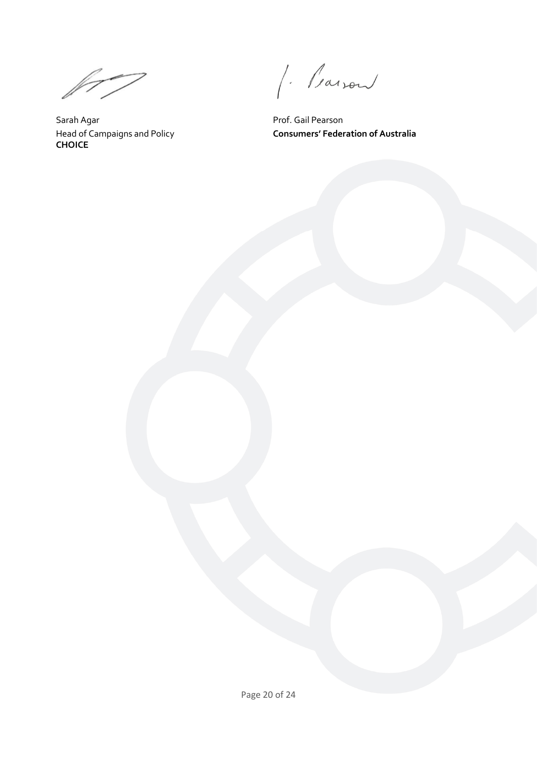$\mathbb{M}^{\mathbb{Z}}$ 

<span id="page-19-0"></span>Sarah Agar **Prof.** Gail Pearson Head of Campaigns and Policy **CHOICE**

J. Parson

**Consumers' Federation of Australia**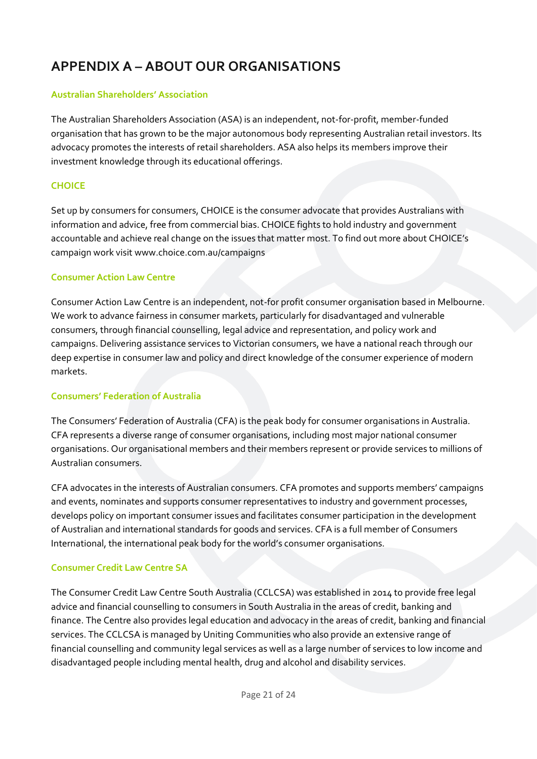# **APPENDIX A – ABOUT OUR ORGANISATIONS**

#### **Australian Shareholders' Association**

The Australian Shareholders Association (ASA) is an independent, not-for-profit, member-funded organisation that has grown to be the major autonomous body representing Australian retail investors. Its advocacy promotes the interests of retail shareholders. ASA also helps its members improve their investment knowledge through its educational offerings.

#### **CHOICE**

Set up by consumers for consumers, CHOICE is the consumer advocate that provides Australians with information and advice, free from commercial bias. CHOICE fights to hold industry and government accountable and achieve real change on the issues that matter most. To find out more about CHOICE's campaign work visit www.choice.com.au/campaigns

#### **Consumer Action Law Centre**

Consumer Action Law Centre is an independent, not-for profit consumer organisation based in Melbourne. We work to advance fairness in consumer markets, particularly for disadvantaged and vulnerable consumers, through financial counselling, legal advice and representation, and policy work and campaigns. Delivering assistance services to Victorian consumers, we have a national reach through our deep expertise in consumer law and policy and direct knowledge of the consumer experience of modern markets.

#### **Consumers' Federation of Australia**

The Consumers' Federation of Australia (CFA) is the peak body for consumer organisations in Australia. CFA represents a diverse range of consumer organisations, including most major national consumer organisations. Our organisational members and their members represent or provide services to millions of Australian consumers.

CFA advocates in the interests of Australian consumers. CFA promotes and supports members' campaigns and events, nominates and supports consumer representatives to industry and government processes, develops policy on important consumer issues and facilitates consumer participation in the development of Australian and international standards for goods and services. CFA is a full member of Consumers International, the international peak body for the world's consumer organisations.

#### **Consumer Credit Law Centre SA**

The Consumer Credit Law Centre South Australia (CCLCSA) was established in 2014 to provide free legal advice and financial counselling to consumers in South Australia in the areas of credit, banking and finance. The Centre also provides legal education and advocacy in the areas of credit, banking and financial services. The CCLCSA is managed by Uniting Communities who also provide an extensive range of financial counselling and community legal services as well as a large number of services to low income and disadvantaged people including mental health, drug and alcohol and disability services.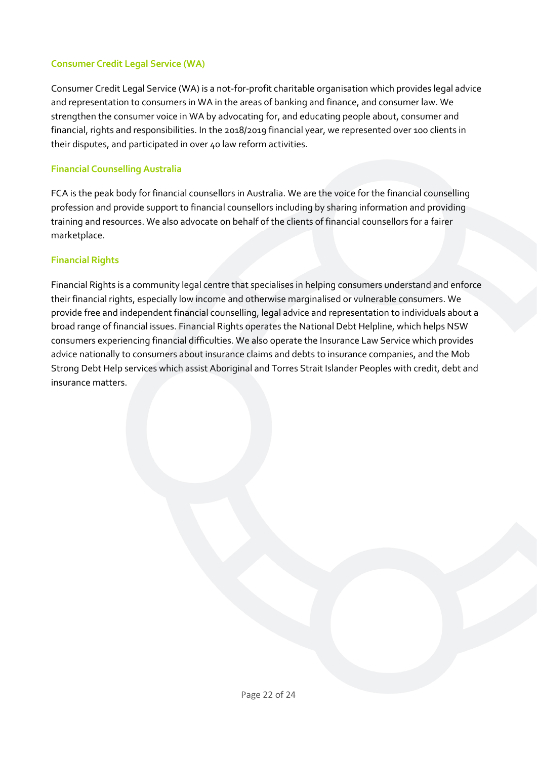#### **Consumer Credit Legal Service (WA)**

Consumer Credit Legal Service (WA) is a not-for-profit charitable organisation which provides legal advice and representation to consumers in WA in the areas of banking and finance, and consumer law. We strengthen the consumer voice in WA by advocating for, and educating people about, consumer and financial, rights and responsibilities. In the 2018/2019 financial year, we represented over 100 clients in their disputes, and participated in over 40 law reform activities.

#### **Financial Counselling Australia**

FCA is the peak body for financial counsellors in Australia. We are the voice for the financial counselling profession and provide support to financial counsellors including by sharing information and providing training and resources. We also advocate on behalf of the clients of financial counsellors for a fairer marketplace.

#### **Financial Rights**

<span id="page-21-0"></span>Financial Rights is a community legal centre that specialises in helping consumers understand and enforce their financial rights, especially low income and otherwise marginalised or vulnerable consumers. We provide free and independent financial counselling, legal advice and representation to individuals about a broad range of financial issues. Financial Rights operates the National Debt Helpline, which helps NSW consumers experiencing financial difficulties. We also operate the Insurance Law Service which provides advice nationally to consumers about insurance claims and debts to insurance companies, and the Mob Strong Debt Help services which assist Aboriginal and Torres Strait Islander Peoples with credit, debt and insurance matters.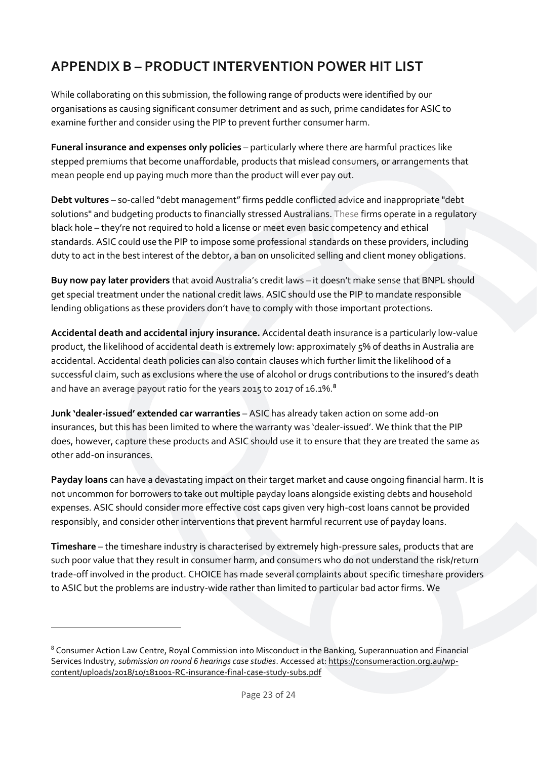# **APPENDIX B – PRODUCT INTERVENTION POWER HIT LIST**

While collaborating on this submission, the following range of products were identified by our organisations as causing significant consumer detriment and as such, prime candidates for ASIC to examine further and consider using the PIP to prevent further consumer harm.

**Funeral insurance and expenses only policies** – particularly where there are harmful practices like stepped premiums that become unaffordable, products that mislead consumers, or arrangements that mean people end up paying much more than the product will ever pay out.

**Debt vultures** – so-called "debt management" firms peddle conflicted advice and inappropriate "debt solutions" and budgeting products to financially stressed Australians. These firms operate in a regulatory black hole – they're not required to hold a license or meet even basic competency and ethical standards. ASIC could use the PIP to impose some professional standards on these providers, including duty to act in the best interest of the debtor, a ban on unsolicited selling and client money obligations.

**Buy now pay later providers** that avoid Australia's credit laws – it doesn't make sense that BNPL should get special treatment under the national credit laws. ASIC should use the PIP to mandate responsible lending obligations as these providers don't have to comply with those important protections.

**Accidental death and accidental injury insurance.** Accidental death insurance is a particularly low-value product, the likelihood of accidental death is extremely low: approximately 5% of deaths in Australia are accidental. Accidental death policies can also contain clauses which further limit the likelihood of a successful claim, such as exclusions where the use of alcohol or drugs contributions to the insured's death and have an average payout ratio for the years 2015 to 2017 of 16.1%. **8**

**Junk 'dealer-issued' extended car warranties** – ASIC has already taken action on some add-on insurances, but this has been limited to where the warranty was 'dealer-issued'. We think that the PIP does, however, capture these products and ASIC should use it to ensure that they are treated the same as other add-on insurances.

**Payday loans** can have a devastating impact on their target market and cause ongoing financial harm. It is not uncommon for borrowers to take out multiple payday loans alongside existing debts and household expenses. ASIC should consider more effective cost caps given very high-cost loans cannot be provided responsibly, and consider other interventions that prevent harmful recurrent use of payday loans.

**Timeshare** – the timeshare industry is characterised by extremely high-pressure sales, products that are such poor value that they result in consumer harm, and consumers who do not understand the risk/return trade-off involved in the product. CHOICE has made several complaints about specific timeshare providers to ASIC but the problems are industry-wide rather than limited to particular bad actor firms. We

1

<sup>8</sup> Consumer Action Law Centre, Royal Commission into Misconduct in the Banking, Superannuation and Financial Services Industry, *submission on round 6 hearings case studies*. Accessed at[: https://consumeraction.org.au/wp](https://consumeraction.org.au/wp-content/uploads/2018/10/181001-RC-insurance-final-case-study-subs.pdf)[content/uploads/2018/10/181001-RC-insurance-final-case-study-subs.pdf](https://consumeraction.org.au/wp-content/uploads/2018/10/181001-RC-insurance-final-case-study-subs.pdf)